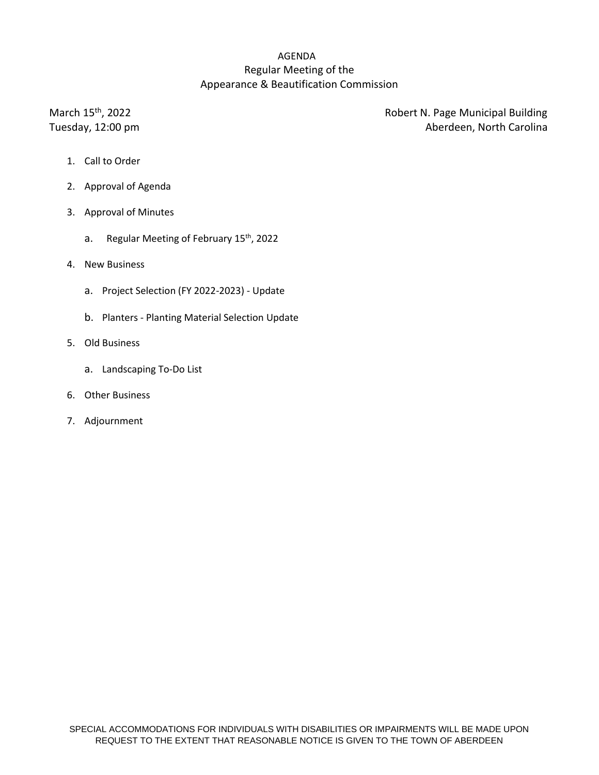# AGENDA Regular Meeting of the Appearance & Beautification Commission

March 15<sup>th</sup>

Robert N. Page Municipal Building Tuesday, 12:00 pm and the state of the state of the Aberdeen, North Carolina

- 1. Call to Order
- 2. Approval of Agenda
- 3. Approval of Minutes
	- a. Regular Meeting of February 15<sup>th</sup>, 2022
- 4. New Business
	- a. Project Selection (FY 2022-2023) Update
	- b. Planters Planting Material Selection Update
- 5. Old Business
	- a. Landscaping To-Do List
- 6. Other Business
- 7. Adjournment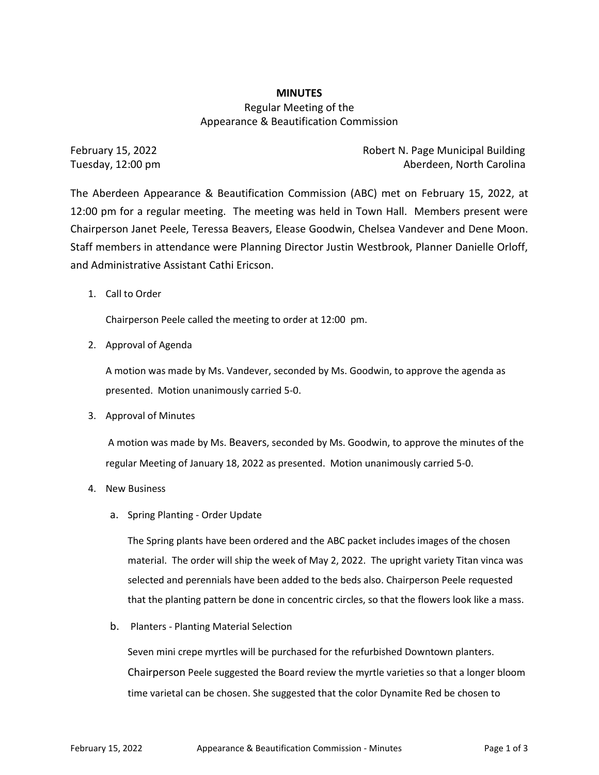## **MINUTES** Regular Meeting of the Appearance & Beautification Commission

February 15, 2022 **Robert N. Page Municipal Building** Tuesday, 12:00 pm Aberdeen, North Carolina

The Aberdeen Appearance & Beautification Commission (ABC) met on February 15, 2022, at 12:00 pm for a regular meeting. The meeting was held in Town Hall. Members present were Chairperson Janet Peele, Teressa Beavers, Elease Goodwin, Chelsea Vandever and Dene Moon. Staff members in attendance were Planning Director Justin Westbrook, Planner Danielle Orloff, and Administrative Assistant Cathi Ericson.

1. Call to Order

Chairperson Peele called the meeting to order at 12:00 pm.

2. Approval of Agenda

A motion was made by Ms. Vandever, seconded by Ms. Goodwin, to approve the agenda as presented. Motion unanimously carried 5-0.

3. Approval of Minutes

A motion was made by Ms. Beavers, seconded by Ms. Goodwin, to approve the minutes of the regular Meeting of January 18, 2022 as presented. Motion unanimously carried 5-0.

- 4. New Business
	- a. Spring Planting Order Update

The Spring plants have been ordered and the ABC packet includes images of the chosen material. The order will ship the week of May 2, 2022. The upright variety Titan vinca was selected and perennials have been added to the beds also. Chairperson Peele requested that the planting pattern be done in concentric circles, so that the flowers look like a mass.

b. Planters - Planting Material Selection

Seven mini crepe myrtles will be purchased for the refurbished Downtown planters. Chairperson Peele suggested the Board review the myrtle varieties so that a longer bloom time varietal can be chosen. She suggested that the color Dynamite Red be chosen to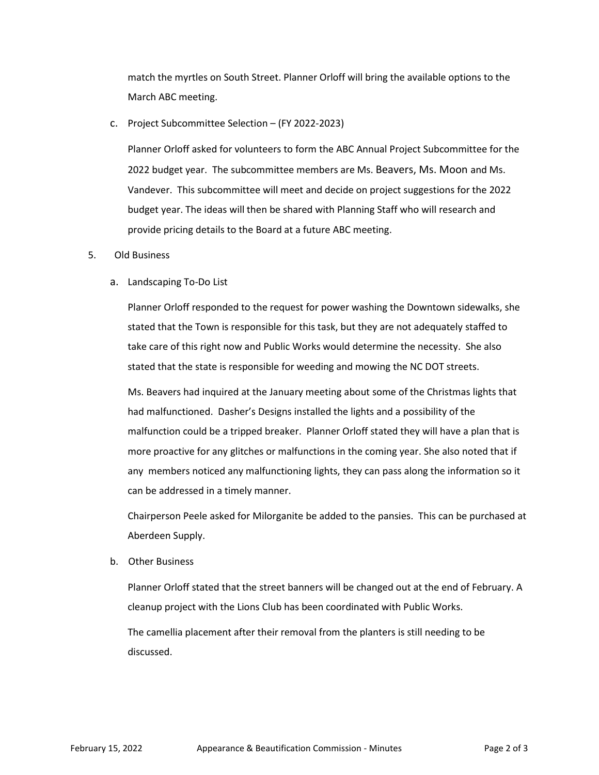match the myrtles on South Street. Planner Orloff will bring the available options to the March ABC meeting.

#### c. Project Subcommittee Selection – (FY 2022-2023)

Planner Orloff asked for volunteers to form the ABC Annual Project Subcommittee for the 2022 budget year. The subcommittee members are Ms. Beavers, Ms. Moon and Ms. Vandever. This subcommittee will meet and decide on project suggestions for the 2022 budget year. The ideas will then be shared with Planning Staff who will research and provide pricing details to the Board at a future ABC meeting.

#### 5. Old Business

## a. Landscaping To-Do List

Planner Orloff responded to the request for power washing the Downtown sidewalks, she stated that the Town is responsible for this task, but they are not adequately staffed to take care of this right now and Public Works would determine the necessity. She also stated that the state is responsible for weeding and mowing the NC DOT streets.

Ms. Beavers had inquired at the January meeting about some of the Christmas lights that had malfunctioned. Dasher's Designs installed the lights and a possibility of the malfunction could be a tripped breaker. Planner Orloff stated they will have a plan that is more proactive for any glitches or malfunctions in the coming year. She also noted that if any members noticed any malfunctioning lights, they can pass along the information so it can be addressed in a timely manner.

Chairperson Peele asked for Milorganite be added to the pansies. This can be purchased at Aberdeen Supply.

b. Other Business

Planner Orloff stated that the street banners will be changed out at the end of February. A cleanup project with the Lions Club has been coordinated with Public Works.

The camellia placement after their removal from the planters is still needing to be discussed.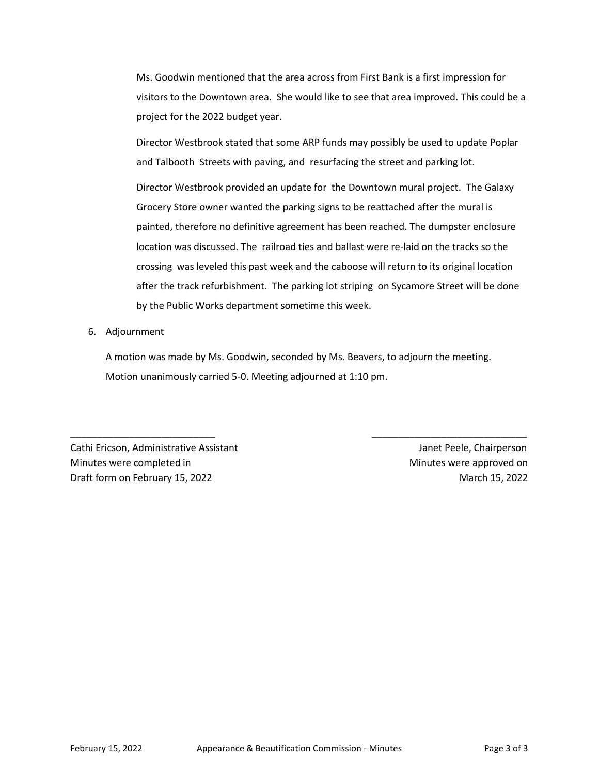Ms. Goodwin mentioned that the area across from First Bank is a first impression for visitors to the Downtown area. She would like to see that area improved. This could be a project for the 2022 budget year.

Director Westbrook stated that some ARP funds may possibly be used to update Poplar and Talbooth Streets with paving, and resurfacing the street and parking lot.

Director Westbrook provided an update for the Downtown mural project. The Galaxy Grocery Store owner wanted the parking signs to be reattached after the mural is painted, therefore no definitive agreement has been reached. The dumpster enclosure location was discussed. The railroad ties and ballast were re-laid on the tracks so the crossing was leveled this past week and the caboose will return to its original location after the track refurbishment. The parking lot striping on Sycamore Street will be done by the Public Works department sometime this week.

## 6. Adjournment

A motion was made by Ms. Goodwin, seconded by Ms. Beavers, to adjourn the meeting. Motion unanimously carried 5-0. Meeting adjourned at 1:10 pm.

\_\_\_\_\_\_\_\_\_\_\_\_\_\_\_\_\_\_\_\_\_\_\_\_\_\_\_ \_\_\_\_\_\_\_\_\_\_\_\_\_\_\_\_\_\_\_\_\_\_\_\_\_\_\_\_\_

Cathi Ericson, Administrative Assistant Janet Peele, Chairperson Minutes were completed in **Minutes were approved on** Minutes were approved on Draft form on February 15, 2022 **March 15, 2022** March 15, 2022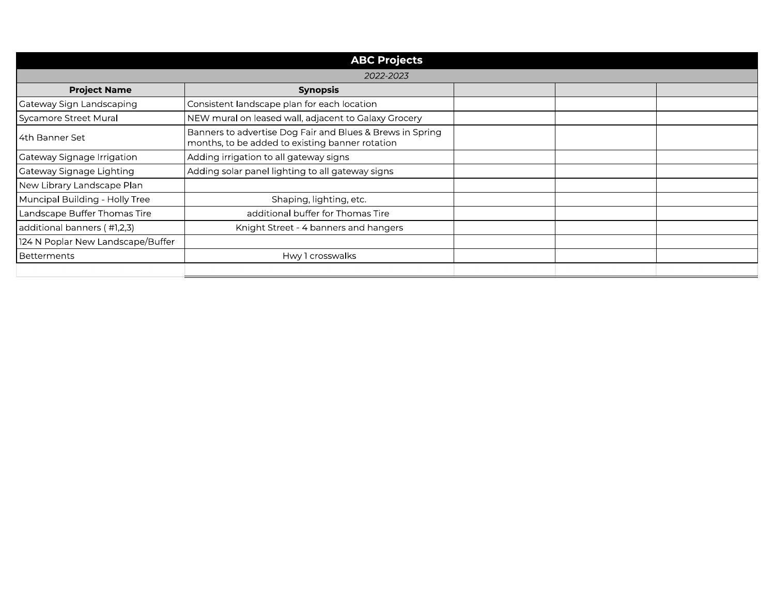| <b>ABC Projects</b>               |                                                                                                              |  |  |  |  |  |
|-----------------------------------|--------------------------------------------------------------------------------------------------------------|--|--|--|--|--|
| 2022-2023                         |                                                                                                              |  |  |  |  |  |
| <b>Project Name</b>               | <b>Synopsis</b>                                                                                              |  |  |  |  |  |
| Gateway Sign Landscaping          | Consistent landscape plan for each location                                                                  |  |  |  |  |  |
| Sycamore Street Mural             | NEW mural on leased wall, adjacent to Galaxy Grocery                                                         |  |  |  |  |  |
| l 4th Banner Set                  | Banners to advertise Dog Fair and Blues & Brews in Spring<br>months, to be added to existing banner rotation |  |  |  |  |  |
| Gateway Signage Irrigation        | Adding irrigation to all gateway signs                                                                       |  |  |  |  |  |
| Gateway Signage Lighting          | Adding solar panel lighting to all gateway signs                                                             |  |  |  |  |  |
| New Library Landscape Plan        |                                                                                                              |  |  |  |  |  |
| Muncipal Building - Holly Tree    | Shaping, lighting, etc.                                                                                      |  |  |  |  |  |
| Landscape Buffer Thomas Tire      | additional buffer for Thomas Tire                                                                            |  |  |  |  |  |
| additional banners (#1,2,3)       | Knight Street - 4 banners and hangers                                                                        |  |  |  |  |  |
| 124 N Poplar New Landscape/Buffer |                                                                                                              |  |  |  |  |  |
| Betterments                       | Hwy 1 crosswalks                                                                                             |  |  |  |  |  |
|                                   |                                                                                                              |  |  |  |  |  |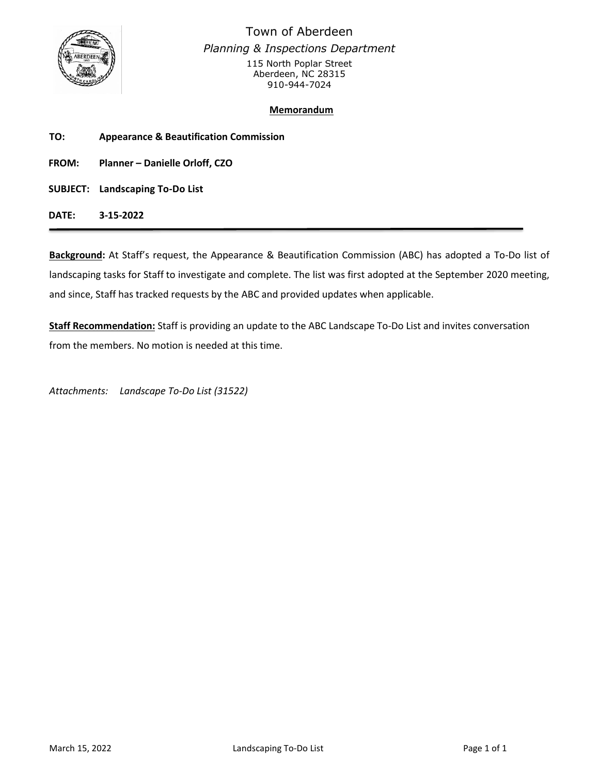

Town of Aberdeen *Planning & Inspections Department* 115 North Poplar Street Aberdeen, NC 28315 910-944-7024

## **Memorandum**

**TO: Appearance & Beautification Commission**

**FROM: Planner – Danielle Orloff, CZO**

**SUBJECT: Landscaping To-Do List**

**DATE: 3-15-2022**

**Background:** At Staff's request, the Appearance & Beautification Commission (ABC) has adopted a To-Do list of landscaping tasks for Staff to investigate and complete. The list was first adopted at the September 2020 meeting, and since, Staff has tracked requests by the ABC and provided updates when applicable.

**Staff Recommendation:** Staff is providing an update to the ABC Landscape To-Do List and invites conversation from the members. No motion is needed at this time.

*Attachments: Landscape To-Do List (31522)*